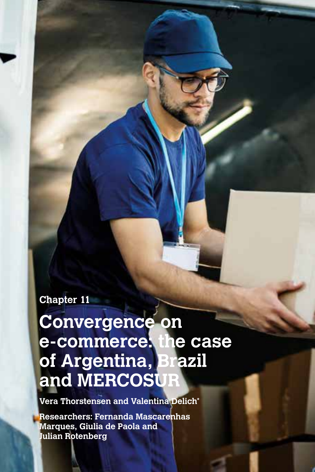# **Chapter 11**

# **Convergence on e-commerce: the case of Argentina, Brazil and MERCOSUR**

**Vera Thorstensen and Valentina Delich\***

**Researchers: Fernanda Mascarenhas Marques, Giulia de Paola and Julian Rotenberg**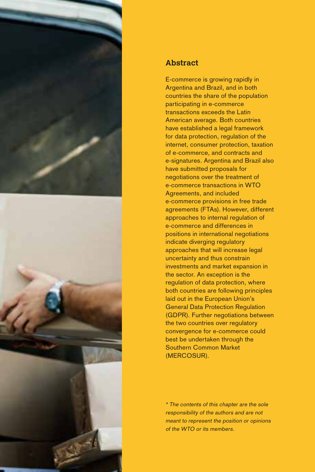



## **Abstract**

E-commerce is growing rapidly in Argentina and Brazil, and in both countries the share of the population participating in e-commerce transactions exceeds the Latin American average. Both countries have established a legal framework for data protection, regulation of the internet, consumer protection, taxation of e-commerce, and contracts and e-signatures. Argentina and Brazil also have submitted proposals for negotiations over the treatment of e-commerce transactions in WTO Agreements, and included e-commerce provisions in free trade agreements (FTAs). However, different approaches to internal regulation of e-commerce and differences in positions in international negotiations indicate diverging regulatory approaches that will increase legal uncertainty and thus constrain investments and market expansion in the sector. An exception is the regulation of data protection, where both countries are following principles laid out in the European Union's General Data Protection Regulation (GDPR). Further negotiations between the two countries over regulatory convergence for e-commerce could best be undertaken through the Southern Common Market (MERCOSUR).

\* The contents of this chapter are the sole responsibility of the authors and are not meant to represent the position or opinions of the WTO or its members.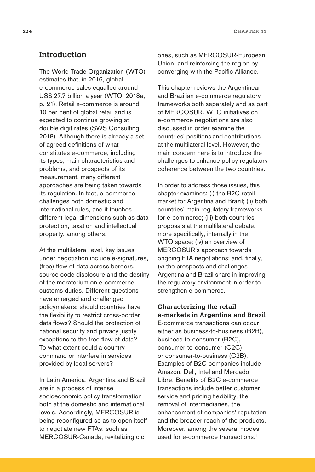The World Trade Organization (WTO) estimates that, in 2016, global e-commerce sales equalled around US\$ 27.7 billion a year (WTO, 2018a, p. 21). Retail e-commerce is around 10 per cent of global retail and is expected to continue growing at double digit rates (SWS Consulting, 2018). Although there is already a set of agreed definitions of what constitutes e-commerce, including its types, main characteristics and problems, and prospects of its measurement, many different approaches are being taken towards its regulation. In fact, e-commerce challenges both domestic and international rules, and it touches different legal dimensions such as data protection, taxation and intellectual property, among others.

At the multilateral level, key issues under negotiation include e-signatures, (free) flow of data across borders, source code disclosure and the destiny of the moratorium on e-commerce customs duties. Different questions have emerged and challenged policymakers: should countries have the flexibility to restrict cross-border data flows? Should the protection of national security and privacy justify exceptions to the free flow of data? To what extent could a country command or interfere in services provided by local servers?

In Latin America, Argentina and Brazil are in a process of intense socioeconomic policy transformation both at the domestic and international levels. Accordingly, MERCOSUR is being reconfigured so as to open itself to negotiate new FTAs, such as MERCOSUR-Canada, revitalizing old

ones, such as MERCOSUR-European Union, and reinforcing the region by converging with the Pacific Alliance.

This chapter reviews the Argentinean and Brazilian e-commerce regulatory frameworks both separately and as part of MERCOSUR. WTO initiatives on e-commerce negotiations are also discussed in order examine the countries' positions and contributions at the multilateral level. However, the main concern here is to introduce the challenges to enhance policy regulatory coherence between the two countries.

In order to address those issues, this chapter examines: (i) the B2C retail market for Argentina and Brazil; (ii) both countries' main regulatory frameworks for e-commerce; (iii) both countries' proposals at the multilateral debate, more specifically, internally in the WTO space; (iv) an overview of MERCOSUR's approach towards ongoing FTA negotiations; and, finally, (v) the prospects and challenges Argentina and Brazil share in improving the regulatory environment in order to strengthen e-commerce.

## **Characterizing the retail e-markets in Argentina and Brazil**

E-commerce transactions can occur either as business-to-business (B2B), business-to-consumer (B2C), consumer-to-consumer (C2C) or consumer-to-business (C2B). Examples of B2C companies include Amazon, Dell, Intel and Mercado Libre. Benefits of B2C e-commerce transactions include better customer service and pricing flexibility, the removal of intermediaries, the enhancement of companies' reputation and the broader reach of the products. Moreover, among the several modes used for e-commerce transactions,<sup>1</sup>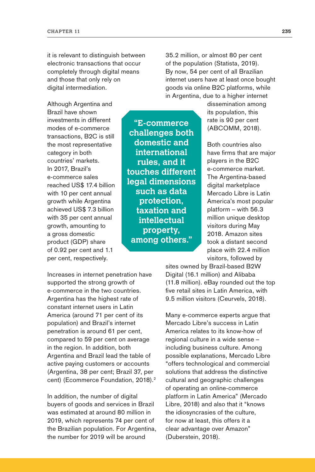it is relevant to distinguish between electronic transactions that occur completely through digital means and those that only rely on digital intermediation.

Although Argentina and Brazil have shown investments in different modes of e-commerce transactions, B2C is still the most representative category in both countries' markets. In 2017, Brazil's e-commerce sales reached US\$ 17.4 billion with 10 per cent annual growth while Argentina achieved US\$ 7.3 billion with 35 per cent annual growth, amounting to a gross domestic product (GDP) share of 0.92 per cent and 1.1 per cent, respectively.

Increases in internet penetration have supported the strong growth of e-commerce in the two countries. Argentina has the highest rate of constant internet users in Latin America (around 71 per cent of its population) and Brazil's internet penetration is around 61 per cent, compared to 59 per cent on average in the region. In addition, both Argentina and Brazil lead the table of active paying customers or accounts (Argentina, 38 per cent; Brazil 37, per cent) (Ecommerce Foundation, 2018).<sup>2</sup>

In addition, the number of digital buyers of goods and services in Brazil was estimated at around 80 million in 2019, which represents 74 per cent of the Brazilian population. For Argentina, the number for 2019 will be around

35.2 million, or almost 80 per cent of the population (Statista, 2019). By now, 54 per cent of all Brazilian internet users have at least once bought goods via online B2C platforms, while in Argentina, due to a higher internet

dissemination among its population, this rate is 90 per cent (ABCOMM, 2018).

Both countries also have firms that are major players in the B2C e-commerce market. The Argentina-based digital marketplace Mercado Libre is Latin America's most popular platform – with 56.3 million unique desktop visitors during May 2018. Amazon sites took a distant second place with 22.4 million visitors, followed by

sites owned by Brazil-based B2W Digital (16.1 million) and Alibaba (11.8 million). eBay rounded out the top five retail sites in Latin America, with 9.5 million visitors (Ceurvels, 2018).

Many e-commerce experts argue that Mercado Libre's success in Latin America relates to its know-how of regional culture in a wide sense – including business culture. Among possible explanations, Mercado Libre "offers technological and commercial solutions that address the distinctive cultural and geographic challenges of operating an online-commerce platform in Latin America" (Mercado Libre, 2018) and also that it "knows the idiosyncrasies of the culture, for now at least, this offers it a clear advantage over Amazon" (Duberstein, 2018).

**"E-commerce challenges both domestic and international rules, and it touches different legal dimensions such as data protection, taxation and intellectual property, among others."**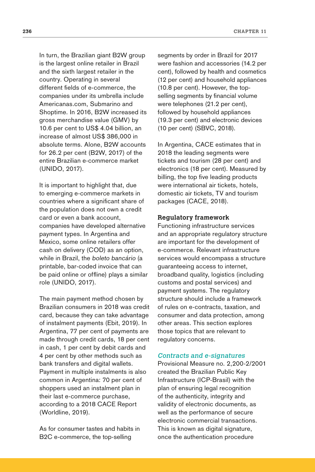In turn, the Brazilian giant B2W group is the largest online retailer in Brazil and the sixth largest retailer in the country. Operating in several different fields of e-commerce, the companies under its umbrella include Americanas.com, Submarino and Shoptime. In 2016, B2W increased its gross merchandise value (GMV) by 10.6 per cent to US\$ 4.04 billion, an increase of almost US\$ 386,000 in absolute terms. Alone, B2W accounts for 26.2 per cent (B2W, 2017) of the entire Brazilian e-commerce market (UNIDO, 2017).

It is important to highlight that, due to emerging e-commerce markets in countries where a significant share of the population does not own a credit card or even a bank account, companies have developed alternative payment types. In Argentina and Mexico, some online retailers offer cash on delivery (COD) as an option, while in Brazil, the boleto bancário (a printable, bar-coded invoice that can be paid online or offline) plays a similar role (UNIDO, 2017).

The main payment method chosen by Brazilian consumers in 2018 was credit card, because they can take advantage of instalment payments (Ebit, 2019). In Argentina, 77 per cent of payments are made through credit cards, 18 per cent in cash, 1 per cent by debit cards and 4 per cent by other methods such as bank transfers and digital wallets. Payment in multiple instalments is also common in Argentina: 70 per cent of shoppers used an instalment plan in their last e-commerce purchase, according to a 2018 CACE Report (Worldline, 2019).

As for consumer tastes and habits in B2C e-commerce, the top-selling

segments by order in Brazil for 2017 were fashion and accessories (14.2 per cent), followed by health and cosmetics (12 per cent) and household appliances (10.8 per cent). However, the topselling segments by financial volume were telephones (21.2 per cent), followed by household appliances (19.3 per cent) and electronic devices (10 per cent) (SBVC, 2018).

In Argentina, CACE estimates that in 2018 the leading segments were tickets and tourism (28 per cent) and electronics (18 per cent). Measured by billing, the top five leading products were international air tickets, hotels, domestic air tickets, TV and tourism packages (CACE, 2018).

#### **Regulatory framework**

Functioning infrastructure services and an appropriate regulatory structure are important for the development of e-commerce. Relevant infrastructure services would encompass a structure guaranteeing access to internet, broadband quality, logistics (including customs and postal services) and payment systems. The regulatory structure should include a framework of rules on e-contracts, taxation, and consumer and data protection, among other areas. This section explores those topics that are relevant to regulatory concerns.

#### Contracts and e-signatures

Provisional Measure no. 2,200-2/2001 created the Brazilian Public Key Infrastructure (ICP-Brasil) with the plan of ensuring legal recognition of the authenticity, integrity and validity of electronic documents, as well as the performance of secure electronic commercial transactions. This is known as digital signature, once the authentication procedure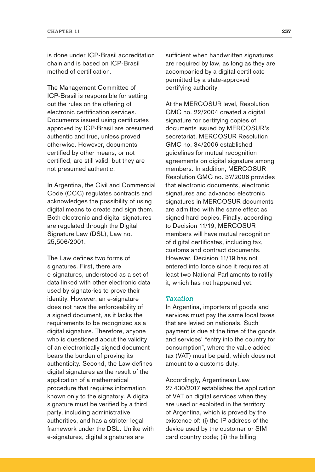is done under ICP-Brasil accreditation chain and is based on ICP-Brasil method of certification.

The Management Committee of ICP-Brasil is responsible for setting out the rules on the offering of electronic certification services. Documents issued using certificates approved by ICP-Brasil are presumed authentic and true, unless proved otherwise. However, documents certified by other means, or not certified, are still valid, but they are not presumed authentic.

In Argentina, the Civil and Commercial Code (CCC) regulates contracts and acknowledges the possibility of using digital means to create and sign them. Both electronic and digital signatures are regulated through the Digital Signature Law (DSL), Law no. 25,506/2001.

The Law defines two forms of signatures. First, there are e-signatures, understood as a set of data linked with other electronic data used by signatories to prove their identity. However, an e-signature does not have the enforceability of a signed document, as it lacks the requirements to be recognized as a digital signature. Therefore, anyone who is questioned about the validity of an electronically signed document bears the burden of proving its authenticity. Second, the Law defines digital signatures as the result of the application of a mathematical procedure that requires information known only to the signatory. A digital signature must be verified by a third party, including administrative authorities, and has a stricter legal framework under the DSL. Unlike with e-signatures, digital signatures are

sufficient when handwritten signatures are required by law, as long as they are accompanied by a digital certificate permitted by a state-approved certifying authority.

At the MERCOSUR level, Resolution GMC no. 22/2004 created a digital signature for certifying copies of documents issued by MERCOSUR's secretariat. MERCOSUR Resolution GMC no. 34/2006 established guidelines for mutual recognition agreements on digital signature among members. In addition, MERCOSUR Resolution GMC no. 37/2006 provides that electronic documents, electronic signatures and advanced electronic signatures in MERCOSUR documents are admitted with the same effect as signed hard copies. Finally, according to Decision 11/19, MERCOSUR members will have mutual recognition of digital certificates, including tax, customs and contract documents. However, Decision 11/19 has not entered into force since it requires at least two National Parliaments to ratify it, which has not happened yet.

#### **Taxation**

In Argentina, importers of goods and services must pay the same local taxes that are levied on nationals. Such payment is due at the time of the goods and services' "entry into the country for consumption", where the value added tax (VAT) must be paid, which does not amount to a customs duty.

Accordingly, Argentinean Law 27,430/2017 establishes the application of VAT on digital services when they are used or exploited in the territory of Argentina, which is proved by the existence of: (i) the IP address of the device used by the customer or SIM card country code; (ii) the billing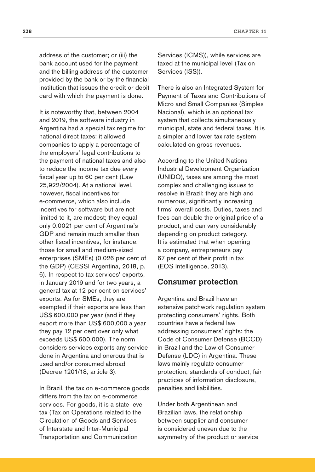address of the customer; or (iii) the bank account used for the payment and the billing address of the customer provided by the bank or by the financial institution that issues the credit or debit card with which the payment is done.

It is noteworthy that, between 2004 and 2019, the software industry in Argentina had a special tax regime for national direct taxes: it allowed companies to apply a percentage of the employers' legal contributions to the payment of national taxes and also to reduce the income tax due every fiscal year up to 60 per cent (Law 25,922/2004). At a national level, however, fiscal incentives for e-commerce, which also include incentives for software but are not limited to it, are modest; they equal only 0.0021 per cent of Argentina's GDP and remain much smaller than other fiscal incentives, for instance, those for small and medium-sized enterprises (SMEs) (0.026 per cent of the GDP) (CESSI Argentina, 2018, p. 6). In respect to tax services' exports, in January 2019 and for two years, a general tax at 12 per cent on services' exports. As for SMEs, they are exempted if their exports are less than US\$ 600,000 per year (and if they export more than US\$ 600,000 a year they pay 12 per cent over only what exceeds US\$ 600,000). The norm considers services exports any service done in Argentina and onerous that is used and/or consumed abroad (Decree 1201/18, article 3).

In Brazil, the tax on e-commerce goods differs from the tax on e-commerce services. For goods, it is a state-level tax (Tax on Operations related to the Circulation of Goods and Services of Interstate and Inter-Municipal Transportation and Communication

Services (ICMS)), while services are taxed at the municipal level (Tax on Services (ISS)).

There is also an Integrated System for Payment of Taxes and Contributions of Micro and Small Companies (Simples Nacional), which is an optional tax system that collects simultaneously municipal, state and federal taxes. It is a simpler and lower tax rate system calculated on gross revenues.

According to the United Nations Industrial Development Organization (UNIDO), taxes are among the most complex and challenging issues to resolve in Brazil: they are high and numerous, significantly increasing firms' overall costs. Duties, taxes and fees can double the original price of a product, and can vary considerably depending on product category. It is estimated that when opening a company, entrepreneurs pay 67 per cent of their profit in tax (EOS Intelligence, 2013).

## **Consumer protection**

Argentina and Brazil have an extensive patchwork regulation system protecting consumers' rights. Both countries have a federal law addressing consumers' rights: the Code of Consumer Defense (BCCD) in Brazil and the Law of Consumer Defense (LDC) in Argentina. These laws mainly regulate consumer protection, standards of conduct, fair practices of information disclosure, penalties and liabilities.

Under both Argentinean and Brazilian laws, the relationship between supplier and consumer is considered uneven due to the asymmetry of the product or service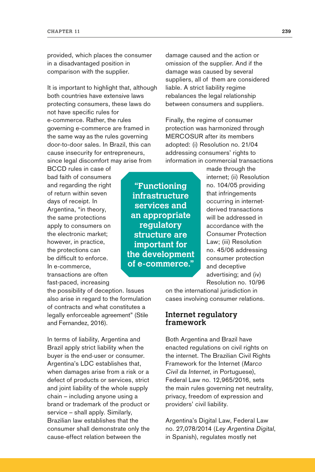provided, which places the consumer in a disadvantaged position in comparison with the supplier.

It is important to highlight that, although both countries have extensive laws protecting consumers, these laws do not have specific rules for e-commerce. Rather, the rules governing e-commerce are framed in the same way as the rules governing door-to-door sales. In Brazil, this can cause insecurity for entrepreneurs, since legal discomfort may arise from

BCCD rules in case of bad faith of consumers and regarding the right of return within seven days of receipt. In Argentina, "in theory, the same protections apply to consumers on the electronic market; however, in practice, the protections can be difficult to enforce. In e-commerce, transactions are often fast-paced, increasing

the possibility of deception. Issues also arise in regard to the formulation of contracts and what constitutes a legally enforceable agreement" (Stile and Fernandez, 2016).

In terms of liability, Argentina and Brazil apply strict liability when the buyer is the end-user or consumer. Argentina's LDC establishes that, when damages arise from a risk or a defect of products or services, strict and joint liability of the whole supply chain – including anyone using a brand or trademark of the product or service – shall apply. Similarly, Brazilian law establishes that the consumer shall demonstrate only the cause-effect relation between the

damage caused and the action or omission of the supplier. And if the damage was caused by several suppliers, all of them are considered liable. A strict liability regime rebalances the legal relationship between consumers and suppliers.

Finally, the regime of consumer protection was harmonized through MERCOSUR after its members adopted: (i) Resolution no. 21/04 addressing consumers' rights to information in commercial transactions

**"Functioning infrastructure services and an appropriate regulatory structure are important for the development of e-commerce."** made through the internet; (ii) Resolution no. 104/05 providing that infringements occurring in internetderived transactions will be addressed in accordance with the Consumer Protection Law; (iii) Resolution no. 45/06 addressing consumer protection and deceptive advertising; and (iv) Resolution no. 10/96

on the international jurisdiction in cases involving consumer relations.

#### **Internet regulatory framework**

Both Argentina and Brazil have enacted regulations on civil rights on the internet. The Brazilian Civil Rights Framework for the Internet (Marco Civil da Internet, in Portuguese), Federal Law no. 12,965/2016, sets the main rules governing net neutrality, privacy, freedom of expression and providers' civil liability.

Argentina's Digital Law, Federal Law no. 27,078/2014 (Ley Argentina Digital, in Spanish), regulates mostly net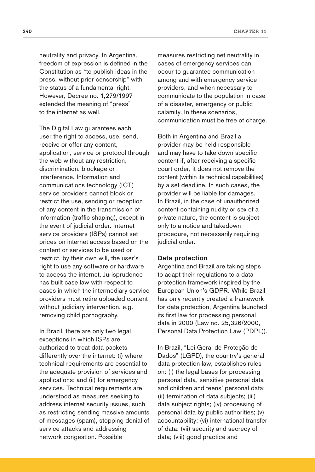neutrality and privacy. In Argentina, freedom of expression is defined in the Constitution as "to publish ideas in the press, without prior censorship" with the status of a fundamental right. However, Decree no. 1,279/1997 extended the meaning of "press" to the internet as well.

The Digital Law guarantees each user the right to access, use, send. receive or offer any content, application, service or protocol through the web without any restriction, discrimination, blockage or interference. Information and communications technology (ICT) service providers cannot block or restrict the use, sending or reception of any content in the transmission of information (traffic shaping), except in the event of judicial order. Internet service providers (ISPs) cannot set prices on internet access based on the content or services to be used or restrict, by their own will, the user's right to use any software or hardware to access the internet. Jurisprudence has built case law with respect to cases in which the intermediary service providers must retire uploaded content without judiciary intervention, e.g. removing child pornography.

In Brazil, there are only two legal exceptions in which ISPs are authorized to treat data packets differently over the internet: (i) where technical requirements are essential to the adequate provision of services and applications; and (ii) for emergency services. Technical requirements are understood as measures seeking to address internet security issues, such as restricting sending massive amounts of messages (spam), stopping denial of service attacks and addressing network congestion. Possible

measures restricting net neutrality in cases of emergency services can occur to guarantee communication among and with emergency service providers, and when necessary to communicate to the population in case of a disaster, emergency or public calamity. In these scenarios, communication must be free of charge.

Both in Argentina and Brazil a provider may be held responsible and may have to take down specific content if, after receiving a specific court order, it does not remove the content (within its technical capabilities) by a set deadline. In such cases, the provider will be liable for damages. In Brazil, in the case of unauthorized content containing nudity or sex of a private nature, the content is subject only to a notice and takedown procedure, not necessarily requiring judicial order.

#### **Data protection**

Argentina and Brazil are taking steps to adapt their regulations to a data protection framework inspired by the European Union's GDPR. While Brazil has only recently created a framework for data protection, Argentina launched its first law for processing personal data in 2000 (Law no. 25,326/2000, Personal Data Protection Law (PDPL)).

In Brazil, "Lei Geral de Proteção de Dados" (LGPD), the country's general data protection law, establishes rules on: (i) the legal bases for processing personal data, sensitive personal data and children and teens' personal data; (ii) termination of data subjects; (iii) data subject rights; (iv) processing of personal data by public authorities; (v) accountability; (vi) international transfer of data; (vii) security and secrecy of data; (viii) good practice and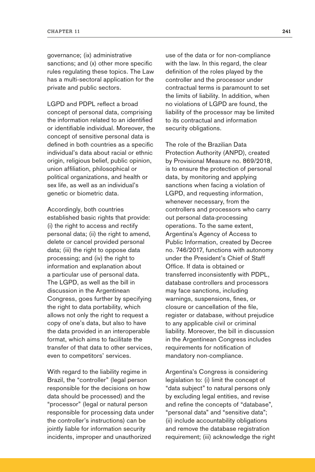governance; (ix) administrative sanctions; and (x) other more specific rules regulating these topics. The Law has a multi-sectoral application for the private and public sectors.

LGPD and PDPL reflect a broad concept of personal data, comprising the information related to an identified or identifiable individual. Moreover, the concept of sensitive personal data is defined in both countries as a specific individual's data about racial or ethnic origin, religious belief, public opinion, union affiliation, philosophical or political organizations, and health or sex life, as well as an individual's genetic or biometric data.

Accordingly, both countries established basic rights that provide: (i) the right to access and rectify personal data; (ii) the right to amend, delete or cancel provided personal data; (iii) the right to oppose data processing; and (iv) the right to information and explanation about a particular use of personal data. The LGPD, as well as the bill in discussion in the Argentinean Congress, goes further by specifying the right to data portability, which allows not only the right to request a copy of one's data, but also to have the data provided in an interoperable format, which aims to facilitate the transfer of that data to other services, even to competitors' services.

With regard to the liability regime in Brazil, the "controller" (legal person responsible for the decisions on how data should be processed) and the "processor" (legal or natural person responsible for processing data under the controller's instructions) can be jointly liable for information security incidents, improper and unauthorized

use of the data or for non-compliance with the law. In this regard, the clear definition of the roles played by the controller and the processor under contractual terms is paramount to set the limits of liability. In addition, when no violations of LGPD are found, the liability of the processor may be limited to its contractual and information security obligations.

The role of the Brazilian Data Protection Authority (ANPD), created by Provisional Measure no. 869/2018, is to ensure the protection of personal data, by monitoring and applying sanctions when facing a violation of LGPD, and requesting information, whenever necessary, from the controllers and processors who carry out personal data-processing operations. To the same extent, Argentina's Agency of Access to Public Information, created by Decree no. 746/2017, functions with autonomy under the President's Chief of Staff Office. If data is obtained or transferred inconsistently with PDPL, database controllers and processors may face sanctions, including warnings, suspensions, fines, or closure or cancellation of the file, register or database, without prejudice to any applicable civil or criminal liability. Moreover, the bill in discussion in the Argentinean Congress includes requirements for notification of mandatory non-compliance.

Argentina's Congress is considering legislation to: (i) limit the concept of "data subject" to natural persons only by excluding legal entities, and revise and refine the concepts of "database", "personal data" and "sensitive data"; (ii) include accountability obligations and remove the database registration requirement; (iii) acknowledge the right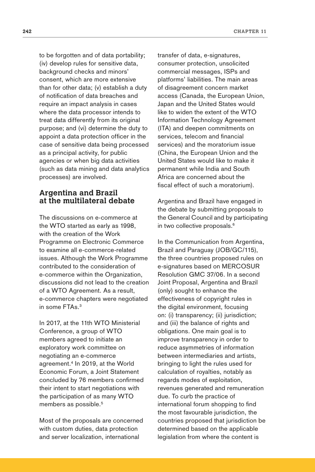to be forgotten and of data portability; (iv) develop rules for sensitive data, background checks and minors' consent, which are more extensive than for other data; (v) establish a duty of notification of data breaches and require an impact analysis in cases where the data processor intends to treat data differently from its original purpose; and (vi) determine the duty to appoint a data protection officer in the case of sensitive data being processed as a principal activity, for public agencies or when big data activities (such as data mining and data analytics processes) are involved.

## **Argentina and Brazil at the multilateral debate**

The discussions on e-commerce at the WTO started as early as 1998, with the creation of the Work Programme on Electronic Commerce to examine all e-commerce-related issues. Although the Work Programme contributed to the consideration of e-commerce within the Organization, discussions did not lead to the creation of a WTO Agreement. As a result, e-commerce chapters were negotiated in some FTAs.<sup>3</sup>

In 2017, at the 11th WTO Ministerial Conference, a group of WTO members agreed to initiate an exploratory work committee on negotiating an e-commerce agreement.4 In 2019, at the World Economic Forum, a Joint Statement concluded by 76 members confirmed their intent to start negotiations with the participation of as many WTO members as possible.<sup>5</sup>

Most of the proposals are concerned with custom duties, data protection and server localization, international

transfer of data, e-signatures, consumer protection, unsolicited commercial messages, ISPs and platforms' liabilities. The main areas of disagreement concern market access (Canada, the European Union, Japan and the United States would like to widen the extent of the WTO Information Technology Agreement (ITA) and deepen commitments on services, telecom and financial services) and the moratorium issue (China, the European Union and the United States would like to make it permanent while India and South Africa are concerned about the fiscal effect of such a moratorium).

Argentina and Brazil have engaged in the debate by submitting proposals to the General Council and by participating in two collective proposals.<sup>6</sup>

In the Communication from Argentina, Brazil and Paraguay (JOB/GC/115), the three countries proposed rules on e-signatures based on MERCOSUR Resolution GMC 37/06. In a second Joint Proposal, Argentina and Brazil (only) sought to enhance the effectiveness of copyright rules in the digital environment, focusing on: (i) transparency; (ii) jurisdiction; and (iii) the balance of rights and obligations. One main goal is to improve transparency in order to reduce asymmetries of information between intermediaries and artists, bringing to light the rules used for calculation of royalties, notably as regards modes of exploitation, revenues generated and remuneration due. To curb the practice of international forum shopping to find the most favourable jurisdiction, the countries proposed that jurisdiction be determined based on the applicable legislation from where the content is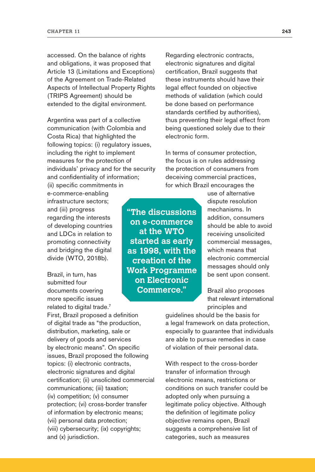accessed. On the balance of rights and obligations, it was proposed that Article 13 (Limitations and Exceptions) of the Agreement on Trade-Related Aspects of Intellectual Property Rights (TRIPS Agreement) should be extended to the digital environment.

Argentina was part of a collective communication (with Colombia and Costa Rica) that highlighted the following topics: (i) regulatory issues, including the right to implement measures for the protection of individuals' privacy and for the security and confidentiality of information; (ii) specific commitments in

e-commerce-enabling infrastructure sectors; and (iii) progress regarding the interests of developing countries and LDCs in relation to promoting connectivity and bridging the digital divide (WTO, 2018b).

Brazil, in turn, has submitted four documents covering more specific issues related to digital trade.<sup>7</sup>

First, Brazil proposed a definition of digital trade as "the production, distribution, marketing, sale or delivery of goods and services by electronic means". On specific issues, Brazil proposed the following topics: (i) electronic contracts, electronic signatures and digital certification; (ii) unsolicited commercial communications; (iii) taxation; (iv) competition; (v) consumer protection; (vi) cross-border transfer of information by electronic means; (vii) personal data protection; (viii) cybersecurity; (ix) copyrights; and (x) jurisdiction.

Regarding electronic contracts, electronic signatures and digital certification, Brazil suggests that these instruments should have their legal effect founded on objective methods of validation (which could be done based on performance standards certified by authorities), thus preventing their legal effect from being questioned solely due to their electronic form.

In terms of consumer protection, the focus is on rules addressing the protection of consumers from deceiving commercial practices, for which Brazil encourages the

**"The discussions on e-commerce at the WTO started as early as 1998, with the creation of the Work Programme on Electronic Commerce."**

use of alternative dispute resolution mechanisms. In addition, consumers should be able to avoid receiving unsolicited commercial messages, which means that electronic commercial messages should only be sent upon consent.

Brazil also proposes that relevant international principles and

guidelines should be the basis for a legal framework on data protection, especially to guarantee that individuals are able to pursue remedies in case of violation of their personal data.

With respect to the cross-border transfer of information through electronic means, restrictions or conditions on such transfer could be adopted only when pursuing a legitimate policy objective. Although the definition of legitimate policy objective remains open, Brazil suggests a comprehensive list of categories, such as measures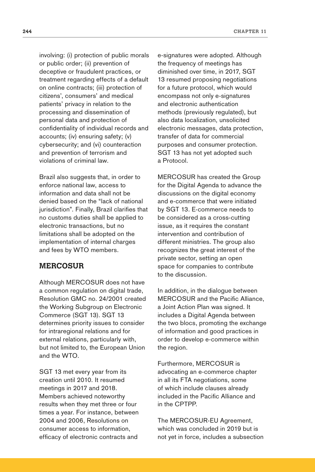involving: (i) protection of public morals or public order; (ii) prevention of deceptive or fraudulent practices, or treatment regarding effects of a default on online contracts; (iii) protection of citizens', consumers' and medical patients' privacy in relation to the processing and dissemination of personal data and protection of confidentiality of individual records and accounts; (iv) ensuring safety; (v) cybersecurity; and (vi) counteraction and prevention of terrorism and violations of criminal law.

Brazil also suggests that, in order to enforce national law, access to information and data shall not be denied based on the "lack of national jurisdiction". Finally, Brazil clarifies that no customs duties shall be applied to electronic transactions, but no limitations shall be adopted on the implementation of internal charges and fees by WTO members.

## **MERCOSUR**

Although MERCOSUR does not have a common regulation on digital trade, Resolution GMC no. 24/2001 created the Working Subgroup on Electronic Commerce (SGT 13). SGT 13 determines priority issues to consider for intraregional relations and for external relations, particularly with, but not limited to, the European Union and the WTO.

SGT 13 met every year from its creation until 2010. It resumed meetings in 2017 and 2018. Members achieved noteworthy results when they met three or four times a year. For instance, between 2004 and 2006, Resolutions on consumer access to information, efficacy of electronic contracts and

e-signatures were adopted. Although the frequency of meetings has diminished over time, in 2017, SGT 13 resumed proposing negotiations for a future protocol, which would encompass not only e-signatures and electronic authentication methods (previously regulated), but also data localization, unsolicited electronic messages, data protection, transfer of data for commercial purposes and consumer protection. SGT 13 has not yet adopted such a Protocol.

MERCOSUR has created the Group for the Digital Agenda to advance the discussions on the digital economy and e-commerce that were initiated by SGT 13. E-commerce needs to be considered as a cross-cutting issue, as it requires the constant intervention and contribution of different ministries. The group also recognizes the great interest of the private sector, setting an open space for companies to contribute to the discussion.

In addition, in the dialogue between MERCOSUR and the Pacific Alliance, a Joint Action Plan was signed. It includes a Digital Agenda between the two blocs, promoting the exchange of information and good practices in order to develop e-commerce within the region.

Furthermore, MERCOSUR is advocating an e-commerce chapter in all its FTA negotiations, some of which include clauses already included in the Pacific Alliance and in the CPTPP.

The MERCOSUR-EU Agreement, which was concluded in 2019 but is not yet in force, includes a subsection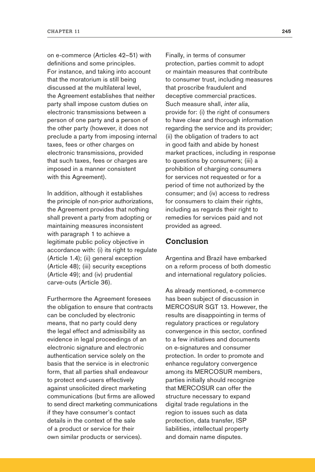on e-commerce (Articles 42–51) with definitions and some principles. For instance, and taking into account that the moratorium is still being discussed at the multilateral level, the Agreement establishes that neither party shall impose custom duties on electronic transmissions between a person of one party and a person of the other party (however, it does not preclude a party from imposing internal taxes, fees or other charges on electronic transmissions, provided that such taxes, fees or charges are imposed in a manner consistent with this Agreement).

In addition, although it establishes the principle of non-prior authorizations, the Agreement provides that nothing shall prevent a party from adopting or maintaining measures inconsistent with paragraph 1 to achieve a legitimate public policy objective in accordance with: (i) its right to regulate (Article 1.4); (ii) general exception (Article 48); (iii) security exceptions (Article 49); and (iv) prudential carve-outs (Article 36).

Furthermore the Agreement foresees the obligation to ensure that contracts can be concluded by electronic means, that no party could deny the legal effect and admissibility as evidence in legal proceedings of an electronic signature and electronic authentication service solely on the basis that the service is in electronic form, that all parties shall endeavour to protect end-users effectively against unsolicited direct marketing communications (but firms are allowed to send direct marketing communications if they have consumer's contact details in the context of the sale of a product or service for their own similar products or services).

Finally, in terms of consumer protection, parties commit to adopt or maintain measures that contribute to consumer trust, including measures that proscribe fraudulent and deceptive commercial practices. Such measure shall, inter alia, provide for: (i) the right of consumers to have clear and thorough information regarding the service and its provider; (ii) the obligation of traders to act in good faith and abide by honest market practices, including in response to questions by consumers; (iii) a prohibition of charging consumers for services not requested or for a period of time not authorized by the consumer; and (iv) access to redress for consumers to claim their rights. including as regards their right to remedies for services paid and not provided as agreed.

## **Conclusion**

Argentina and Brazil have embarked on a reform process of both domestic and international regulatory policies.

As already mentioned, e-commerce has been subject of discussion in MERCOSUR SGT 13. However, the results are disappointing in terms of regulatory practices or regulatory convergence in this sector, confined to a few initiatives and documents on e-signatures and consumer protection. In order to promote and enhance regulatory convergence among its MERCOSUR members, parties initially should recognize that MERCOSUR can offer the structure necessary to expand digital trade regulations in the region to issues such as data protection, data transfer, ISP liabilities, intellectual property and domain name disputes.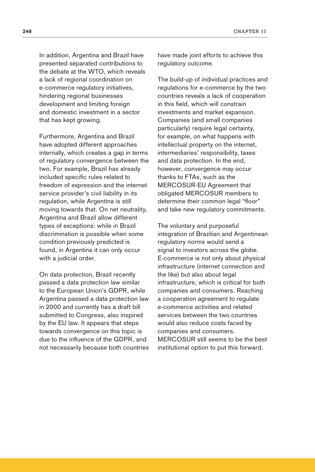In addition, Argentina and Brazil have presented separated contributions to the debate at the WTO, which reveals a lack of regional coordination on e-commerce regulatory initiatives, hindering regional businesses development and limiting foreign and domestic investment in a sector that has kept growing.

Furthermore, Argentina and Brazil have adopted different approaches internally, which creates a gap in terms of regulatory convergence between the two. For example, Brazil has already included specific rules related to freedom of expression and the internet service provider's civil liability in its regulation, while Argentina is still moving towards that. On net neutrality, Argentina and Brazil allow different types of exceptions: while in Brazil discrimination is possible when some condition previously predicted is found, in Argentina it can only occur with a judicial order.

On data protection, Brazil recently passed a data protection law similar to the European Union's GDPR, while Argentina passed a data protection law in 2000 and currently has a draft bill submitted to Congress, also inspired by the EU law. It appears that steps towards convergence on this topic is due to the influence of the GDPR, and not necessarily because both countries have made joint efforts to achieve this regulatory outcome.

The build-up of individual practices and regulations for e-commerce by the two countries reveals a lack of cooperation in this field, which will constrain investments and market expansion. Companies (and small companies particularly) require legal certainty, for example, on what happens with intellectual property on the internet, intermediaries' responsibility, taxes and data protection. In the end, however, convergence may occur thanks to FTAs, such as the MERCOSUR-EU Agreement that obligated MERCOSUR members to determine their common legal "floor" and take new regulatory commitments.

The voluntary and purposeful integration of Brazilian and Argentinean regulatory norms would send a signal to investors across the globe. E-commerce is not only about physical infrastructure (internet connection and the like) but also about legal infrastructure, which is critical for both companies and consumers. Reaching a cooperation agreement to regulate e-commerce activities and related services between the two countries would also reduce costs faced by companies and consumers. MERCOSUR still seems to be the best institutional option to put this forward.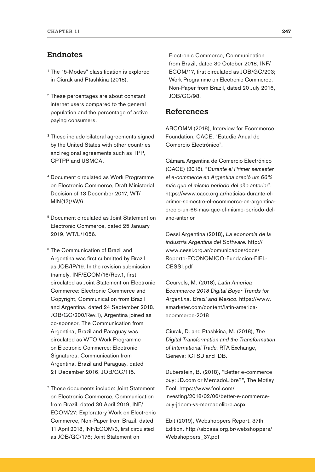## **Endnotes**

- <sup>1</sup> The "5-Modes" classification is explored in Ciurak and Ptashkina (2018).
- <sup>2</sup> These percentages are about constant internet users compared to the general population and the percentage of active paying consumers.
- <sup>3</sup> These include bilateral agreements signed by the United States with other countries and regional agreements such as TPP, CPTPP and USMCA.
- <sup>4</sup> Document circulated as Work Programme on Electronic Commerce, Draft Ministerial Decision of 13 December 2017, WT/ MIN(17)/W/6.
- <sup>5</sup> Document circulated as Joint Statement on Electronic Commerce, dated 25 January 2019, WT/L/1056.
- <sup>6</sup> The Communication of Brazil and Argentina was first submitted by Brazil as JOB/IP/19. In the revision submission (namely, INF/ECOM/16/Rev.1, first circulated as Joint Statement on Electronic Commerce: Electronic Commerce and Copyright, Communication from Brazil and Argentina, dated 24 September 2018, JOB/GC/200/Rev.1), Argentina joined as co-sponsor. The Communication from Argentina, Brazil and Paraguay was circulated as WTO Work Programme on Electronic Commerce: Electronic Signatures, Communication from Argentina, Brazil and Paraguay, dated 21 December 2016, JOB/GC/115.

<sup>7</sup> Those documents include: Joint Statement on Electronic Commerce, Communication from Brazil, dated 30 April 2019, INF/ ECOM/27; Exploratory Work on Electronic Commerce, Non-Paper from Brazil, dated 11 April 2018, INF/ECOM/3, first circulated as JOB/GC/176; Joint Statement on

Electronic Commerce, Communication from Brazil, dated 30 October 2018, INF/ ECOM/17, first circulated as JOB/GC/203; Work Programme on Electronic Commerce, Non-Paper from Brazil, dated 20 July 2016, JOB/GC/98.

## **References**

ABCOMM (2018), Interview for Ecommerce Foundation, CACE, "Estudio Anual de Comercio Electrónico".

Cámara Argentina de Comercio Electrónico (CACE) (2018), "Durante el Primer semester el e-commerce en Argentina creció um 66% más que el mismo período del año anterior". [https://www.cace.org.ar/noticias-durante-el](https://www.cace.org.ar/noticias-durante-el-primer-semestre-el-ecommerce-en-argentina-crecio-un-66-mas-que-el-mismo-periodo-del-ano-anterior)[primer-semestre-el-ecommerce-en-argentina](https://www.cace.org.ar/noticias-durante-el-primer-semestre-el-ecommerce-en-argentina-crecio-un-66-mas-que-el-mismo-periodo-del-ano-anterior)[crecio-un-66-mas-que-el-mismo-periodo-del](https://www.cace.org.ar/noticias-durante-el-primer-semestre-el-ecommerce-en-argentina-crecio-un-66-mas-que-el-mismo-periodo-del-ano-anterior)[ano-anterior](https://www.cace.org.ar/noticias-durante-el-primer-semestre-el-ecommerce-en-argentina-crecio-un-66-mas-que-el-mismo-periodo-del-ano-anterior)

Cessi Argentina (2018), La economía de la industria Argentina del Software. [http://](http://www.cessi.org.ar/comunicados/docs/Reporte-ECONOMICO-Fundacion-FIEL-CESSI.pdf) [www.cessi.org.ar/comunicados/docs/](http://www.cessi.org.ar/comunicados/docs/Reporte-ECONOMICO-Fundacion-FIEL-CESSI.pdf) [Reporte-ECONOMICO-Fundacion-FIEL-](http://www.cessi.org.ar/comunicados/docs/Reporte-ECONOMICO-Fundacion-FIEL-CESSI.pdf)[CESSI.pdf](http://www.cessi.org.ar/comunicados/docs/Reporte-ECONOMICO-Fundacion-FIEL-CESSI.pdf)

Ceurvels, M. (2018), Latin America Ecommerce 2018 Digital Buyer Trends for Argentina, Brazil and Mexico. [https://www.](https://www.emarketer.com/content/latin-america-ecommerce-2018) [emarketer.com/content/latin-america](https://www.emarketer.com/content/latin-america-ecommerce-2018)[ecommerce-2018](https://www.emarketer.com/content/latin-america-ecommerce-2018)

Ciurak, D. and Ptashkina, M. (2018), The Digital Transformation and the Transformation of International Trade, RTA Exchange, Geneva: ICTSD and IDB.

Duberstein, B. (2018), "Better e-commerce buy: JD.com or MercadoLibre?", The Motley Fool. [https://www.fool.com/](https://www.fool.com/investing/2018/02/06/better-e-commerce-buy-jdcom-vs-mercadolibre.aspx) [investing/2018/02/06/better-e-commerce](https://www.fool.com/investing/2018/02/06/better-e-commerce-buy-jdcom-vs-mercadolibre.aspx)[buy-jdcom-vs-mercadolibre.aspx](https://www.fool.com/investing/2018/02/06/better-e-commerce-buy-jdcom-vs-mercadolibre.aspx)

Ebit (2019), Webshoppers Report, 37th Edition. [http://abcasa.org.br/webshoppers/](http://abcasa.org.br/webshoppers/Webshoppers_37.pdf) [Webshoppers\\_37.pdf](http://abcasa.org.br/webshoppers/Webshoppers_37.pdf)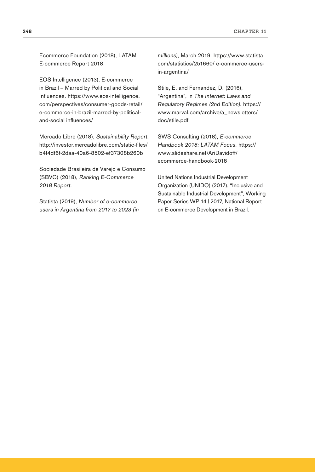Ecommerce Foundation (2018), LATAM E-commerce Report 2018.

EOS Intelligence (2013), E-commerce in Brazil – Marred by Political and Social Influences. [https://www.eos-intelligence.](https://www.eos-intelligence.com/perspectives/consumer-goods-retail/e-commerce-in-brazil-marred-by-political-and-social-influences/) [com/perspectives/consumer-goods-retail/](https://www.eos-intelligence.com/perspectives/consumer-goods-retail/e-commerce-in-brazil-marred-by-political-and-social-influences/)  [e-commerce-in-brazil-marred-by-political](https://www.eos-intelligence.com/perspectives/consumer-goods-retail/e-commerce-in-brazil-marred-by-political-and-social-influences/)[and-social influences/](https://www.eos-intelligence.com/perspectives/consumer-goods-retail/e-commerce-in-brazil-marred-by-political-and-social-influences/)

Mercado Libre (2018), Sustainability Report. [http://investor.mercadolibre.com/static-files/](http://investor.mercadolibre.com/static-files/b4f4df6f-2daa-40a6-8502-ef37308b260b ) [b4f4df6f-2daa-40a6-8502-ef37308b260b](http://investor.mercadolibre.com/static-files/b4f4df6f-2daa-40a6-8502-ef37308b260b )

Sociedade Brasileira de Varejo e Consumo (SBVC) (2018), Ranking E-Commerce 2018 Report.

Statista (2019), Number of e-commerce users in Argentina from 2017 to 2023 (in millions), March 2019. [https://www.statista.](https://www.statista.com/statistics/251660/e-commerce-users-in-argentina/) [com/statistics/251660/ e-commerce-users](https://www.statista.com/statistics/251660/e-commerce-users-in-argentina/)[in-argentina/](https://www.statista.com/statistics/251660/e-commerce-users-in-argentina/)

Stile, E. and Fernandez, D. (2016), "Argentina", in The Internet: Laws and Regulatory Regimes (2nd Edition). [https://](https://www.marval.com/archive/a_newsletters/doc/stile.pdf) [www.marval.com/archive/a\\_newsletters/](https://www.marval.com/archive/a_newsletters/doc/stile.pdf) [doc/stile.pdf](https://www.marval.com/archive/a_newsletters/doc/stile.pdf)

SWS Consulting (2018), E-commerce Handbook 2018: LATAM Focus. [https://](https://www.slideshare.net/AriDavidoff/ecommerce-handbook-2018) [www.slideshare.net/AriDavidoff/](https://www.slideshare.net/AriDavidoff/ecommerce-handbook-2018) [ecommerce-handbook-2018](https://www.slideshare.net/AriDavidoff/ecommerce-handbook-2018)

United Nations Industrial Development Organization (UNIDO) (2017), "Inclusive and Sustainable Industrial Development", Working Paper Series WP 14 | 2017, National Report on E-commerce Development in Brazil.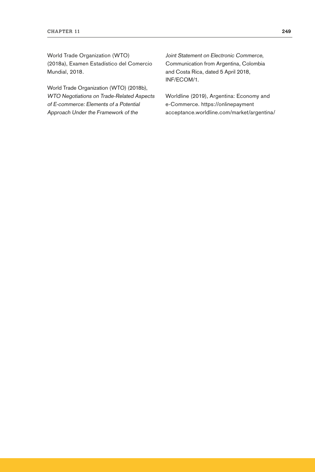World Trade Organization (WTO) (2018a), Examen Estadístico del Comercio Mundial, 2018.

World Trade Organization (WTO) (2018b), WTO Negotiations on Trade-Related Aspects of E-commerce: Elements of a Potential Approach Under the Framework of the

Joint Statement on Electronic Commerce, Communication from Argentina, Colombia and Costa Rica, dated 5 April 2018, INF/ECOM/1.

Worldline (2019), Argentina: Economy and e-Commerce. [https://onlinepayment](https://onlinepaymentacceptance.worldline.com/market/argentina/)  [acceptance.worldline.com/market/argentina/](https://onlinepaymentacceptance.worldline.com/market/argentina/)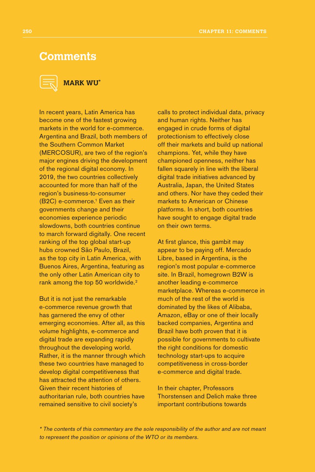## **Comments**



## **MARK WU\***

In recent years, Latin America has become one of the fastest growing markets in the world for e-commerce. Argentina and Brazil, both members of the Southern Common Market (MERCOSUR), are two of the region's major engines driving the development of the regional digital economy. In 2019, the two countries collectively accounted for more than half of the region's business-to-consumer (B2C) e-commerce.<sup>1</sup> Even as their governments change and their economies experience periodic slowdowns, both countries continue to march forward digitally. One recent ranking of the top global start-up hubs crowned São Paulo, Brazil, as the top city in Latin America, with Buenos Aires, Argentina, featuring as the only other Latin American city to rank among the top 50 worldwide.<sup>2</sup>

But it is not just the remarkable e-commerce revenue growth that has garnered the envy of other emerging economies. After all, as this volume highlights, e-commerce and digital trade are expanding rapidly throughout the developing world. Rather, it is the manner through which these two countries have managed to develop digital competitiveness that has attracted the attention of others. Given their recent histories of authoritarian rule, both countries have remained sensitive to civil society's

calls to protect individual data, privacy and human rights. Neither has engaged in crude forms of digital protectionism to effectively close off their markets and build up national champions. Yet, while they have championed openness, neither has fallen squarely in line with the liberal digital trade initiatives advanced by Australia, Japan, the United States and others. Nor have they ceded their markets to American or Chinese platforms. In short, both countries have sought to engage digital trade on their own terms.

At first glance, this gambit may appear to be paying off. Mercado Libre, based in Argentina, is the region's most popular e-commerce site. In Brazil, homegrown B2W is another leading e-commerce marketplace. Whereas e-commerce in much of the rest of the world is dominated by the likes of Alibaba, Amazon, eBay or one of their locally backed companies, Argentina and Brazil have both proven that it is possible for governments to cultivate the right conditions for domestic technology start-ups to acquire competitiveness in cross-border e-commerce and digital trade.

In their chapter, Professors Thorstensen and Delich make three important contributions towards

\* The contents of this commentary are the sole responsibility of the author and are not meant to represent the position or opinions of the WTO or its members.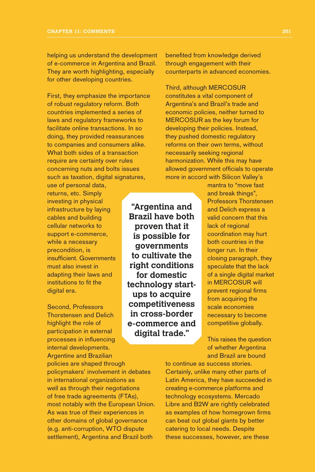helping us understand the development of e-commerce in Argentina and Brazil. They are worth highlighting, especially for other developing countries.

First, they emphasize the importance of robust regulatory reform. Both countries implemented a series of laws and regulatory frameworks to facilitate online transactions. In so doing, they provided reassurances to companies and consumers alike. What both sides of a transaction require are certainty over rules concerning nuts and bolts issues such as taxation, digital signatures,

use of personal data, returns, etc. Simply investing in physical infrastructure by laying cables and building cellular networks to support e-commerce, while a necessary precondition, is insufficient. Governments must also invest in adapting their laws and institutions to fit the digital era.

Second, Professors Thorstensen and Delich highlight the role of participation in external processes in influencing internal developments. Argentine and Brazilian

policies are shaped through policymakers' involvement in debates in international organizations as well as through their negotiations of free trade agreements (FTAs), most notably with the European Union. As was true of their experiences in other domains of global governance (e.g. anti-corruption, WTO dispute settlement), Argentina and Brazil both

**"Argentina and Brazil have both proven that it is possible for governments to cultivate the right conditions for domestic technology startups to acquire competitiveness in cross-border e-commerce and digital trade."**

benefited from knowledge derived through engagement with their counterparts in advanced economies.

Third, although MERCOSUR constitutes a vital component of Argentina's and Brazil's trade and economic policies, neither turned to MERCOSUR as the key forum for developing their policies. Instead, they pushed domestic regulatory reforms on their own terms, without necessarily seeking regional harmonization. While this may have allowed government officials to operate more in accord with Silicon Valley's

> mantra to "move fast and break things", Professors Thorstensen and Delich express a valid concern that this lack of regional coordination may hurt both countries in the longer run. In their closing paragraph, they speculate that the lack of a single digital market in MERCOSUR will prevent regional firms from acquiring the scale economies necessary to become competitive globally.

This raises the question of whether Argentina and Brazil are bound

to continue as success stories. Certainly, unlike many other parts of Latin America, they have succeeded in creating e-commerce platforms and technology ecosystems. Mercado Libre and B2W are rightly celebrated as examples of how homegrown firms can beat out global giants by better catering to local needs. Despite these successes, however, are these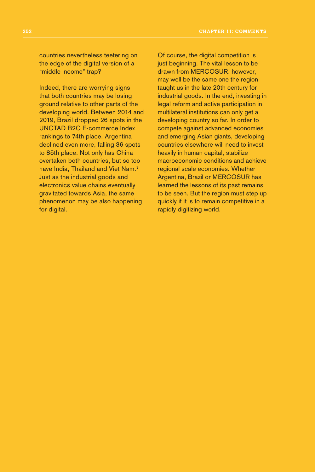countries nevertheless teetering on the edge of the digital version of a "middle income" trap?

Indeed, there are worrying signs that both countries may be losing ground relative to other parts of the developing world. Between 2014 and 2019, Brazil dropped 26 spots in the UNCTAD B2C E-commerce Index rankings to 74th place. Argentina declined even more, falling 36 spots to 85th place. Not only has China overtaken both countries, but so too have India, Thailand and Viet Nam.<sup>3</sup> Just as the industrial goods and electronics value chains eventually gravitated towards Asia, the same phenomenon may be also happening for digital.

Of course, the digital competition is just beginning. The vital lesson to be drawn from MERCOSUR, however, may well be the same one the region taught us in the late 20th century for industrial goods. In the end, investing in legal reform and active participation in multilateral institutions can only get a developing country so far. In order to compete against advanced economies and emerging Asian giants, developing countries elsewhere will need to invest heavily in human capital, stabilize macroeconomic conditions and achieve regional scale economies. Whether Argentina, Brazil or MERCOSUR has learned the lessons of its past remains to be seen. But the region must step up quickly if it is to remain competitive in a rapidly digitizing world.